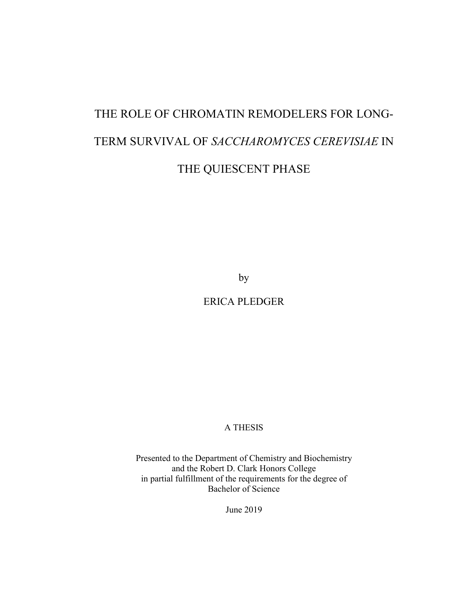# THE ROLE OF CHROMATIN REMODELERS FOR LONG-TERM SURVIVAL OF *SACCHAROMYCES CEREVISIAE* IN THE QUIESCENT PHASE

by

ERICA PLEDGER

A THESIS

Presented to the Department of Chemistry and Biochemistry and the Robert D. Clark Honors College in partial fulfillment of the requirements for the degree of Bachelor of Science

June 2019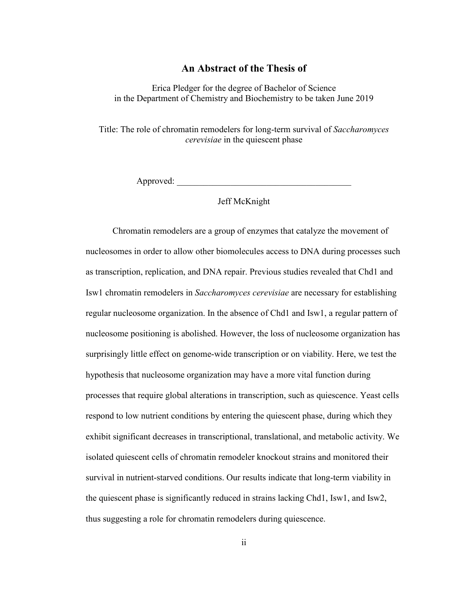# **An Abstract of the Thesis of**

Erica Pledger for the degree of Bachelor of Science in the Department of Chemistry and Biochemistry to be taken June 2019

Title: The role of chromatin remodelers for long-term survival of *Saccharomyces cerevisiae* in the quiescent phase

Approved:

## Jeff McKnight

Chromatin remodelers are a group of enzymes that catalyze the movement of nucleosomes in order to allow other biomolecules access to DNA during processes such as transcription, replication, and DNA repair. Previous studies revealed that Chd1 and Isw1 chromatin remodelers in *Saccharomyces cerevisiae* are necessary for establishing regular nucleosome organization. In the absence of Chd1 and Isw1, a regular pattern of nucleosome positioning is abolished. However, the loss of nucleosome organization has surprisingly little effect on genome-wide transcription or on viability. Here, we test the hypothesis that nucleosome organization may have a more vital function during processes that require global alterations in transcription, such as quiescence. Yeast cells respond to low nutrient conditions by entering the quiescent phase, during which they exhibit significant decreases in transcriptional, translational, and metabolic activity. We isolated quiescent cells of chromatin remodeler knockout strains and monitored their survival in nutrient-starved conditions. Our results indicate that long-term viability in the quiescent phase is significantly reduced in strains lacking Chd1, Isw1, and Isw2, thus suggesting a role for chromatin remodelers during quiescence.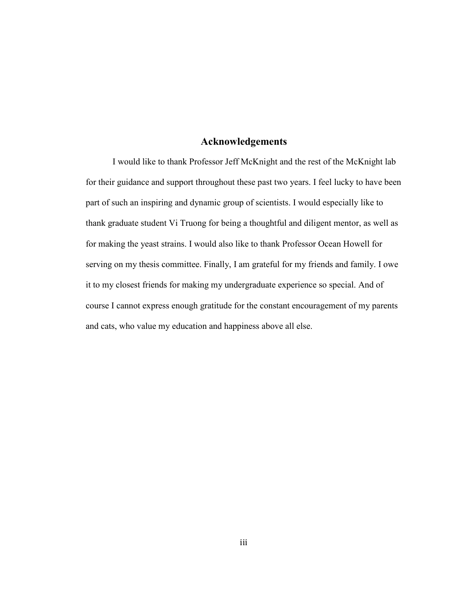# **Acknowledgements**

I would like to thank Professor Jeff McKnight and the rest of the McKnight lab for their guidance and support throughout these past two years. I feel lucky to have been part of such an inspiring and dynamic group of scientists. I would especially like to thank graduate student Vi Truong for being a thoughtful and diligent mentor, as well as for making the yeast strains. I would also like to thank Professor Ocean Howell for serving on my thesis committee. Finally, I am grateful for my friends and family. I owe it to my closest friends for making my undergraduate experience so special. And of course I cannot express enough gratitude for the constant encouragement of my parents and cats, who value my education and happiness above all else.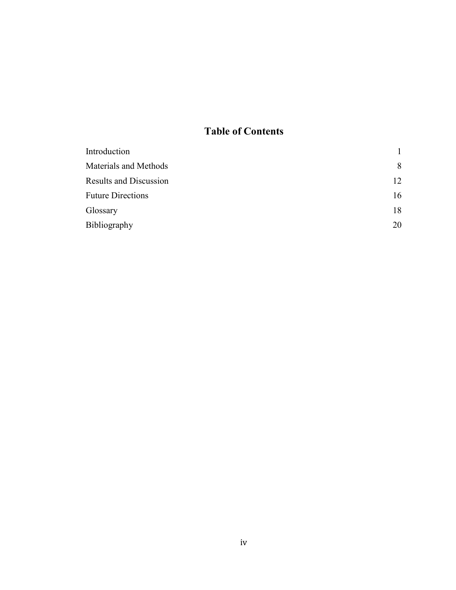# **Table of Contents**

| Introduction                  |    |
|-------------------------------|----|
| Materials and Methods         | 8  |
| <b>Results and Discussion</b> | 12 |
| <b>Future Directions</b>      | 16 |
| Glossary                      | 18 |
| Bibliography                  | 20 |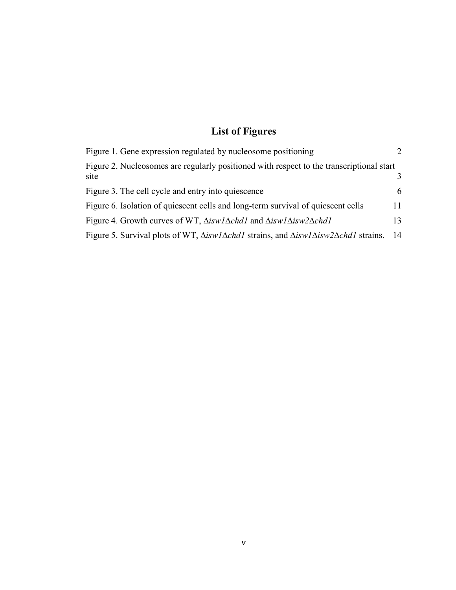# **List of Figures**

| Figure 1. Gene expression regulated by nucleosome positioning                                                               |    |
|-----------------------------------------------------------------------------------------------------------------------------|----|
| Figure 2. Nucleosomes are regularly positioned with respect to the transcriptional start<br>site                            |    |
| Figure 3. The cell cycle and entry into quiescence                                                                          | 6  |
| Figure 6. Isolation of quiescent cells and long-term survival of quiescent cells                                            | 11 |
| Figure 4. Growth curves of WT, $\Delta$ iswl $\Delta$ chdl and $\Delta$ iswl $\Delta$ isw $2\Delta$ chdl                    | 13 |
| Figure 5. Survival plots of WT, $\Delta$ iswl $\Delta$ chdl strains, and $\Delta$ iswl $\Delta$ isw $2\Delta$ chdl strains. | 14 |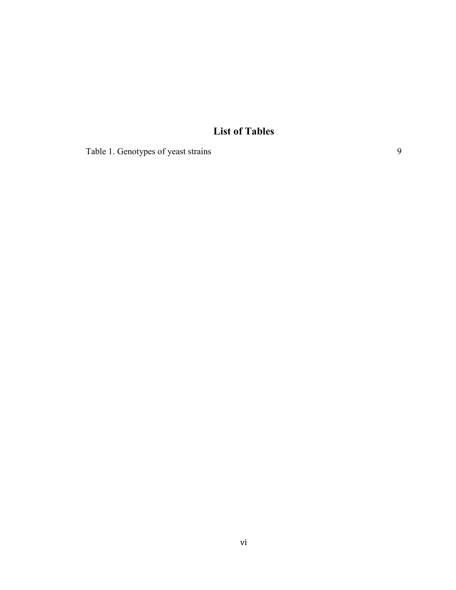# **List of Tables**

[Table 1. Genotypes of yeast strains](#page-14-0) 9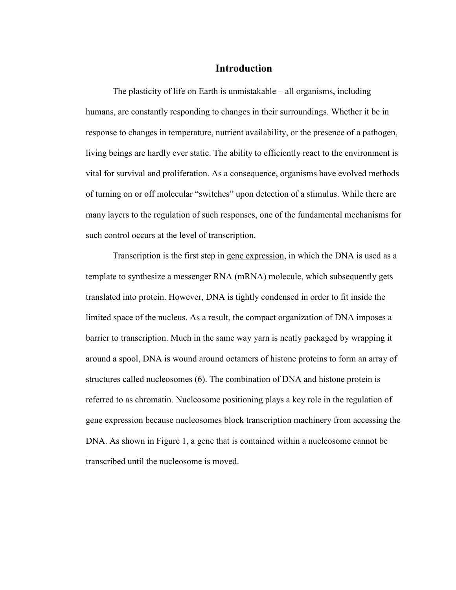# **Introduction**

The plasticity of life on Earth is unmistakable – all organisms, including humans, are constantly responding to changes in their surroundings. Whether it be in response to changes in temperature, nutrient availability, or the presence of a pathogen, living beings are hardly ever static. The ability to efficiently react to the environment is vital for survival and proliferation. As a consequence, organisms have evolved methods of turning on or off molecular "switches" upon detection of a stimulus. While there are many layers to the regulation of such responses, one of the fundamental mechanisms for such control occurs at the level of transcription.

Transcription is the first step in gene expression, in which the DNA is used as a template to synthesize a messenger RNA (mRNA) molecule, which subsequently gets translated into protein. However, DNA is tightly condensed in order to fit inside the limited space of the nucleus. As a result, the compact organization of DNA imposes a barrier to transcription. Much in the same way yarn is neatly packaged by wrapping it around a spool, DNA is wound around octamers of histone proteins to form an array of structures called nucleosomes (6). The combination of DNA and histone protein is referred to as chromatin. Nucleosome positioning plays a key role in the regulation of gene expression because nucleosomes block transcription machinery from accessing the DNA. As shown in Figure 1, a gene that is contained within a nucleosome cannot be transcribed until the nucleosome is moved.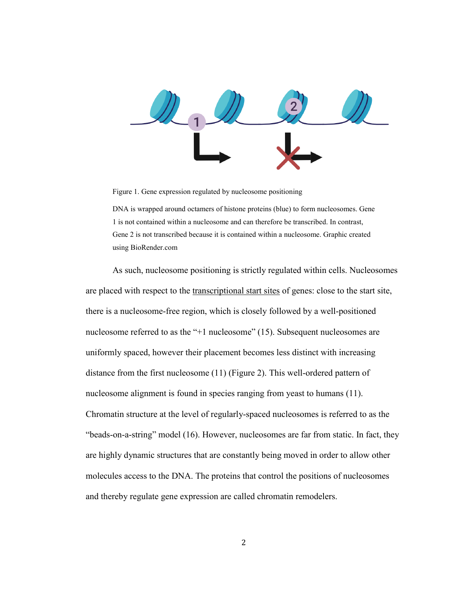

<span id="page-7-0"></span>Figure 1. Gene expression regulated by nucleosome positioning

DNA is wrapped around octamers of histone proteins (blue) to form nucleosomes. Gene 1 is not contained within a nucleosome and can therefore be transcribed. In contrast, Gene 2 is not transcribed because it is contained within a nucleosome. Graphic created using BioRender.com

As such, nucleosome positioning is strictly regulated within cells. Nucleosomes are placed with respect to the transcriptional start sites of genes: close to the start site, there is a nucleosome-free region, which is closely followed by a well-positioned nucleosome referred to as the "+1 nucleosome" (15). Subsequent nucleosomes are uniformly spaced, however their placement becomes less distinct with increasing distance from the first nucleosome (11) (Figure 2). This well-ordered pattern of nucleosome alignment is found in species ranging from yeast to humans (11). Chromatin structure at the level of regularly-spaced nucleosomes is referred to as the "beads-on-a-string" model (16). However, nucleosomes are far from static. In fact, they are highly dynamic structures that are constantly being moved in order to allow other molecules access to the DNA. The proteins that control the positions of nucleosomes and thereby regulate gene expression are called chromatin remodelers.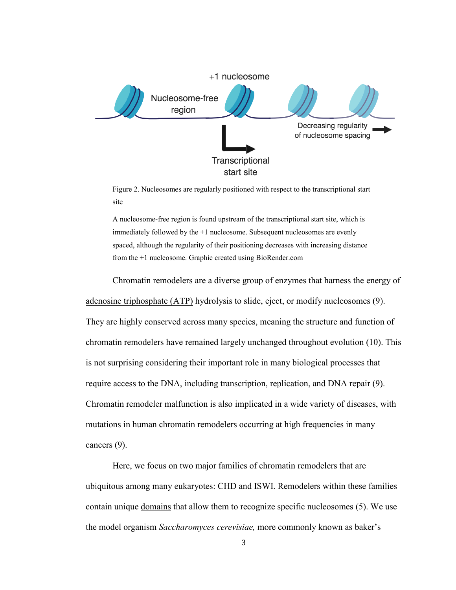

<span id="page-8-0"></span>Figure 2. Nucleosomes are regularly positioned with respect to the transcriptional start site

A nucleosome-free region is found upstream of the transcriptional start site, which is immediately followed by the +1 nucleosome. Subsequent nucleosomes are evenly spaced, although the regularity of their positioning decreases with increasing distance from the +1 nucleosome. Graphic created using BioRender.com

Chromatin remodelers are a diverse group of enzymes that harness the energy of adenosine triphosphate (ATP) hydrolysis to slide, eject, or modify nucleosomes (9). They are highly conserved across many species, meaning the structure and function of chromatin remodelers have remained largely unchanged throughout evolution (10). This is not surprising considering their important role in many biological processes that require access to the DNA, including transcription, replication, and DNA repair (9). Chromatin remodeler malfunction is also implicated in a wide variety of diseases, with mutations in human chromatin remodelers occurring at high frequencies in many cancers (9).

Here, we focus on two major families of chromatin remodelers that are ubiquitous among many eukaryotes: CHD and ISWI. Remodelers within these families contain unique domains that allow them to recognize specific nucleosomes (5). We use the model organism *Saccharomyces cerevisiae,* more commonly known as baker's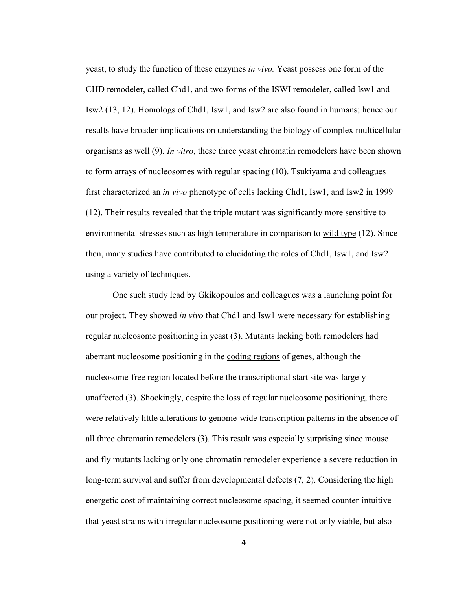yeast, to study the function of these enzymes *in vivo.* Yeast possess one form of the CHD remodeler, called Chd1, and two forms of the ISWI remodeler, called Isw1 and Isw2 (13, 12). Homologs of Chd1, Isw1, and Isw2 are also found in humans; hence our results have broader implications on understanding the biology of complex multicellular organisms as well (9). *In vitro,* these three yeast chromatin remodelers have been shown to form arrays of nucleosomes with regular spacing (10). Tsukiyama and colleagues first characterized an *in vivo* phenotype of cells lacking Chd1, Isw1, and Isw2 in 1999 (12). Their results revealed that the triple mutant was significantly more sensitive to environmental stresses such as high temperature in comparison to wild type (12). Since then, many studies have contributed to elucidating the roles of Chd1, Isw1, and Isw2 using a variety of techniques.

One such study lead by Gkikopoulos and colleagues was a launching point for our project. They showed *in vivo* that Chd1 and Isw1 were necessary for establishing regular nucleosome positioning in yeast (3). Mutants lacking both remodelers had aberrant nucleosome positioning in the coding regions of genes, although the nucleosome-free region located before the transcriptional start site was largely unaffected (3). Shockingly, despite the loss of regular nucleosome positioning, there were relatively little alterations to genome-wide transcription patterns in the absence of all three chromatin remodelers (3). This result was especially surprising since mouse and fly mutants lacking only one chromatin remodeler experience a severe reduction in long-term survival and suffer from developmental defects (7, 2). Considering the high energetic cost of maintaining correct nucleosome spacing, it seemed counter-intuitive that yeast strains with irregular nucleosome positioning were not only viable, but also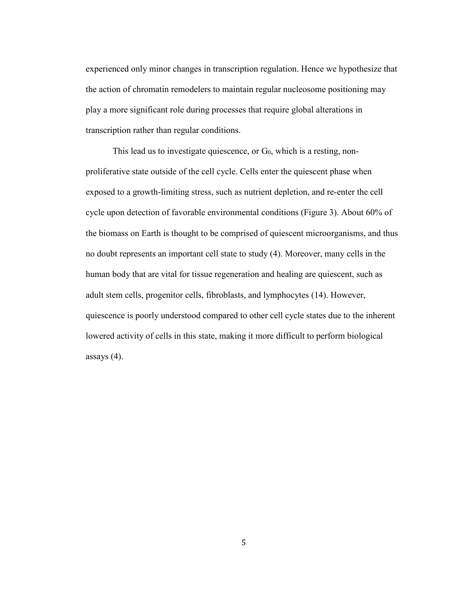experienced only minor changes in transcription regulation. Hence we hypothesize that the action of chromatin remodelers to maintain regular nucleosome positioning may play a more significant role during processes that require global alterations in transcription rather than regular conditions.

This lead us to investigate quiescence, or  $G_0$ , which is a resting, nonproliferative state outside of the cell cycle. Cells enter the quiescent phase when exposed to a growth-limiting stress, such as nutrient depletion, and re-enter the cell cycle upon detection of favorable environmental conditions (Figure 3). About 60% of the biomass on Earth is thought to be comprised of quiescent microorganisms, and thus no doubt represents an important cell state to study (4). Moreover, many cells in the human body that are vital for tissue regeneration and healing are quiescent, such as adult stem cells, progenitor cells, fibroblasts, and lymphocytes (14). However, quiescence is poorly understood compared to other cell cycle states due to the inherent lowered activity of cells in this state, making it more difficult to perform biological assays (4).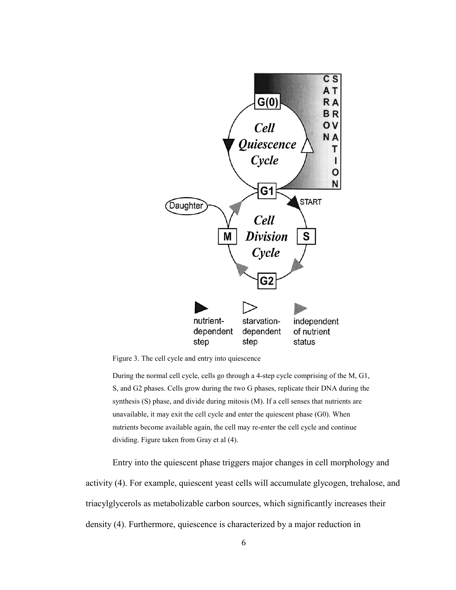

<span id="page-11-0"></span>Figure 3. The cell cycle and entry into quiescence

During the normal cell cycle, cells go through a 4-step cycle comprising of the M, G1, S, and G2 phases. Cells grow during the two G phases, replicate their DNA during the synthesis (S) phase, and divide during mitosis (M). If a cell senses that nutrients are unavailable, it may exit the cell cycle and enter the quiescent phase (G0). When nutrients become available again, the cell may re-enter the cell cycle and continue dividing. Figure taken from Gray et al (4).

Entry into the quiescent phase triggers major changes in cell morphology and activity (4). For example, quiescent yeast cells will accumulate glycogen, trehalose, and triacylglycerols as metabolizable carbon sources, which significantly increases their density (4). Furthermore, quiescence is characterized by a major reduction in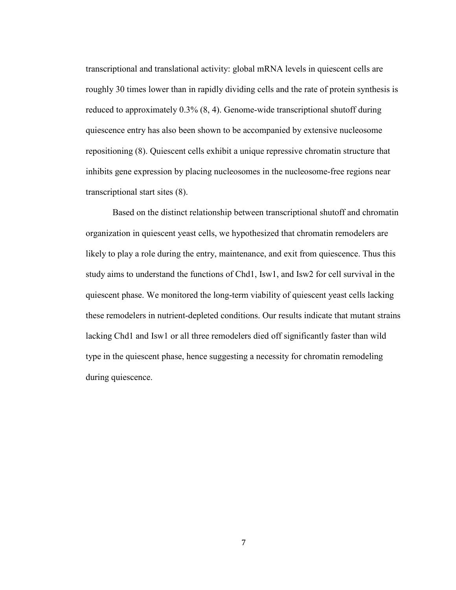transcriptional and translational activity: global mRNA levels in quiescent cells are roughly 30 times lower than in rapidly dividing cells and the rate of protein synthesis is reduced to approximately 0.3% (8, 4). Genome-wide transcriptional shutoff during quiescence entry has also been shown to be accompanied by extensive nucleosome repositioning (8). Quiescent cells exhibit a unique repressive chromatin structure that inhibits gene expression by placing nucleosomes in the nucleosome-free regions near transcriptional start sites (8).

Based on the distinct relationship between transcriptional shutoff and chromatin organization in quiescent yeast cells, we hypothesized that chromatin remodelers are likely to play a role during the entry, maintenance, and exit from quiescence. Thus this study aims to understand the functions of Chd1, Isw1, and Isw2 for cell survival in the quiescent phase. We monitored the long-term viability of quiescent yeast cells lacking these remodelers in nutrient-depleted conditions. Our results indicate that mutant strains lacking Chd1 and Isw1 or all three remodelers died off significantly faster than wild type in the quiescent phase, hence suggesting a necessity for chromatin remodeling during quiescence.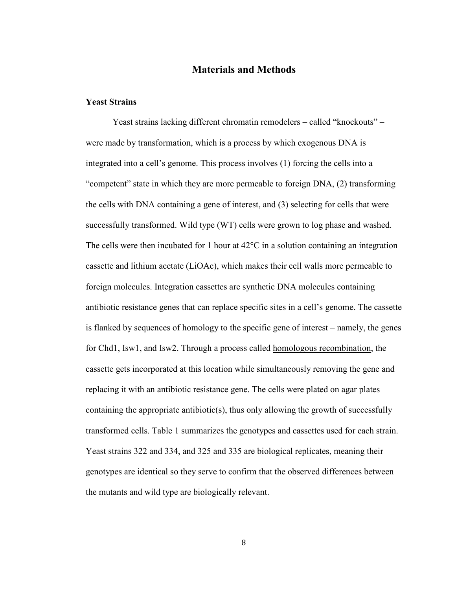# **Materials and Methods**

#### **Yeast Strains**

Yeast strains lacking different chromatin remodelers – called "knockouts" – were made by transformation, which is a process by which exogenous DNA is integrated into a cell's genome. This process involves (1) forcing the cells into a "competent" state in which they are more permeable to foreign DNA, (2) transforming the cells with DNA containing a gene of interest, and (3) selecting for cells that were successfully transformed. Wild type (WT) cells were grown to log phase and washed. The cells were then incubated for 1 hour at  $42^{\circ}$ C in a solution containing an integration cassette and lithium acetate (LiOAc), which makes their cell walls more permeable to foreign molecules. Integration cassettes are synthetic DNA molecules containing antibiotic resistance genes that can replace specific sites in a cell's genome. The cassette is flanked by sequences of homology to the specific gene of interest – namely, the genes for Chd1, Isw1, and Isw2. Through a process called homologous recombination, the cassette gets incorporated at this location while simultaneously removing the gene and replacing it with an antibiotic resistance gene. The cells were plated on agar plates containing the appropriate antibiotic(s), thus only allowing the growth of successfully transformed cells. Table 1 summarizes the genotypes and cassettes used for each strain. Yeast strains 322 and 334, and 325 and 335 are biological replicates, meaning their genotypes are identical so they serve to confirm that the observed differences between the mutants and wild type are biologically relevant.

8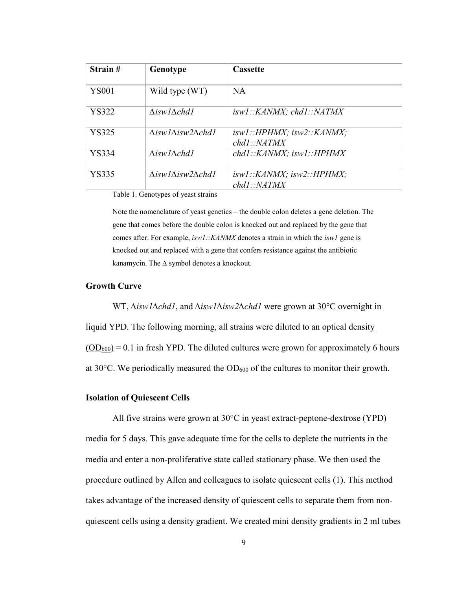| Strain#      | Genotype                                     | <b>Cassette</b>                          |
|--------------|----------------------------------------------|------------------------------------------|
| <b>YS001</b> | Wild type (WT)                               | <b>NA</b>                                |
| <b>YS322</b> | $\Delta$ isw $1\Delta$ chd $1$               | iswl::KANMX; chdl::NATMX                 |
| YS325        | $\Delta$ isw $1\Delta$ isw $2\Delta$ chd $1$ | iswl::HPHMX; isw2::KANMX;<br>chdl::NATMX |
| <b>YS334</b> | $\Delta$ isw $1\Delta$ chd $1$               | chd1::KANMX; isw1::HPHMX                 |
| YS335        | $\Delta$ isw $1\Delta$ isw $2\Delta$ chd $1$ | iswl::KANMX; isw2::HPHMX;<br>chdl::NATMX |

<span id="page-14-0"></span>Table 1. Genotypes of yeast strains

Note the nomenclature of yeast genetics – the double colon deletes a gene deletion. The gene that comes before the double colon is knocked out and replaced by the gene that comes after. For example, *isw1::KANMX* denotes a strain in which the *isw1* gene is knocked out and replaced with a gene that confers resistance against the antibiotic kanamycin. The *∆* symbol denotes a knockout.

#### **Growth Curve**

WT, *∆isw1∆chd1*, and *∆isw1∆isw2∆chd1* were grown at 30°C overnight in liquid YPD. The following morning, all strains were diluted to an optical density  $(OD<sub>600</sub>) = 0.1$  in fresh YPD. The diluted cultures were grown for approximately 6 hours at  $30^{\circ}$ C. We periodically measured the OD<sub>600</sub> of the cultures to monitor their growth.

#### **Isolation of Quiescent Cells**

All five strains were grown at 30°C in yeast extract-peptone-dextrose (YPD) media for 5 days. This gave adequate time for the cells to deplete the nutrients in the media and enter a non-proliferative state called stationary phase. We then used the procedure outlined by Allen and colleagues to isolate quiescent cells (1). This method takes advantage of the increased density of quiescent cells to separate them from nonquiescent cells using a density gradient. We created mini density gradients in 2 ml tubes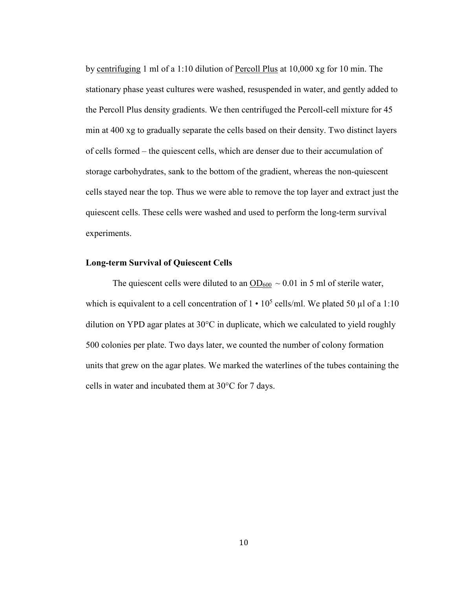by centrifuging 1 ml of a 1:10 dilution of Percoll Plus at 10,000 xg for 10 min. The stationary phase yeast cultures were washed, resuspended in water, and gently added to the Percoll Plus density gradients. We then centrifuged the Percoll-cell mixture for 45 min at 400 xg to gradually separate the cells based on their density. Two distinct layers of cells formed – the quiescent cells, which are denser due to their accumulation of storage carbohydrates, sank to the bottom of the gradient, whereas the non-quiescent cells stayed near the top. Thus we were able to remove the top layer and extract just the quiescent cells. These cells were washed and used to perform the long-term survival experiments.

## **Long-term Survival of Quiescent Cells**

The quiescent cells were diluted to an  $OD_{600} \sim 0.01$  in 5 ml of sterile water, which is equivalent to a cell concentration of  $1 \cdot 10^5$  cells/ml. We plated 50 µl of a 1:10 dilution on YPD agar plates at 30°C in duplicate, which we calculated to yield roughly 500 colonies per plate. Two days later, we counted the number of colony formation units that grew on the agar plates. We marked the waterlines of the tubes containing the cells in water and incubated them at 30°C for 7 days.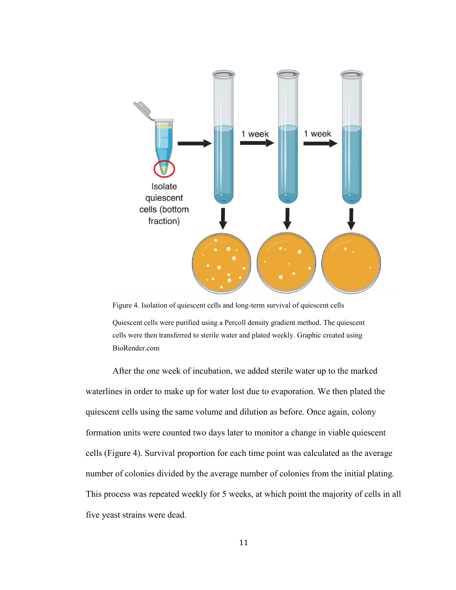

<span id="page-16-0"></span>Figure 4. Isolation of quiescent cells and long-term survival of quiescent cells Quiescent cells were purified using a Percoll density gradient method. The quiescent cells were then transferred to sterile water and plated weekly. Graphic created using BioRender.com

After the one week of incubation, we added sterile water up to the marked waterlines in order to make up for water lost due to evaporation. We then plated the quiescent cells using the same volume and dilution as before. Once again, colony formation units were counted two days later to monitor a change in viable quiescent cells (Figure 4). Survival proportion for each time point was calculated as the average number of colonies divided by the average number of colonies from the initial plating. This process was repeated weekly for 5 weeks, at which point the majority of cells in all five yeast strains were dead.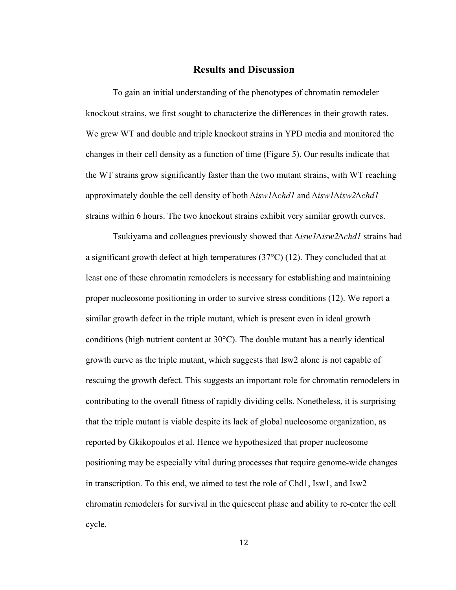# **Results and Discussion**

To gain an initial understanding of the phenotypes of chromatin remodeler knockout strains, we first sought to characterize the differences in their growth rates. We grew WT and double and triple knockout strains in YPD media and monitored the changes in their cell density as a function of time (Figure 5). Our results indicate that the WT strains grow significantly faster than the two mutant strains, with WT reaching approximately double the cell density of both *∆isw1∆chd1* and *∆isw1∆isw2∆chd1*  strains within 6 hours. The two knockout strains exhibit very similar growth curves.

Tsukiyama and colleagues previously showed that *∆isw1∆isw2∆chd1* strains had a significant growth defect at high temperatures  $(37^{\circ}C)(12)$ . They concluded that at least one of these chromatin remodelers is necessary for establishing and maintaining proper nucleosome positioning in order to survive stress conditions (12). We report a similar growth defect in the triple mutant, which is present even in ideal growth conditions (high nutrient content at 30°C). The double mutant has a nearly identical growth curve as the triple mutant, which suggests that Isw2 alone is not capable of rescuing the growth defect. This suggests an important role for chromatin remodelers in contributing to the overall fitness of rapidly dividing cells. Nonetheless, it is surprising that the triple mutant is viable despite its lack of global nucleosome organization, as reported by Gkikopoulos et al. Hence we hypothesized that proper nucleosome positioning may be especially vital during processes that require genome-wide changes in transcription. To this end, we aimed to test the role of Chd1, Isw1, and Isw2 chromatin remodelers for survival in the quiescent phase and ability to re-enter the cell cycle.

12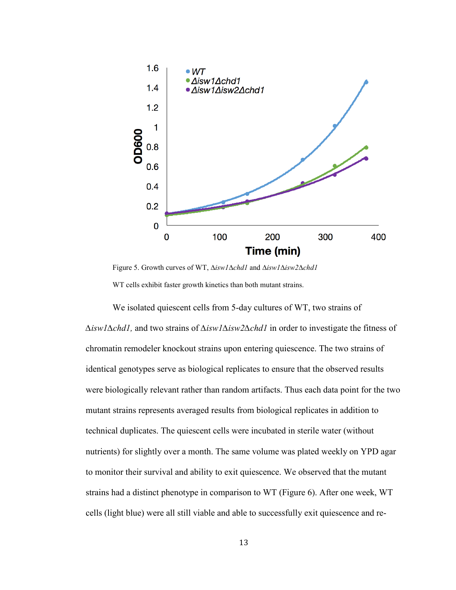

<span id="page-18-0"></span>Figure 5. Growth curves of WT, *∆isw1∆chd1* and *∆isw1∆isw2∆chd1*  WT cells exhibit faster growth kinetics than both mutant strains.

We isolated quiescent cells from 5-day cultures of WT, two strains of *∆isw1∆chd1,* and two strains of *∆isw1∆isw2∆chd1* in order to investigate the fitness of chromatin remodeler knockout strains upon entering quiescence. The two strains of identical genotypes serve as biological replicates to ensure that the observed results were biologically relevant rather than random artifacts. Thus each data point for the two mutant strains represents averaged results from biological replicates in addition to technical duplicates. The quiescent cells were incubated in sterile water (without nutrients) for slightly over a month. The same volume was plated weekly on YPD agar to monitor their survival and ability to exit quiescence. We observed that the mutant strains had a distinct phenotype in comparison to WT (Figure 6). After one week, WT cells (light blue) were all still viable and able to successfully exit quiescence and re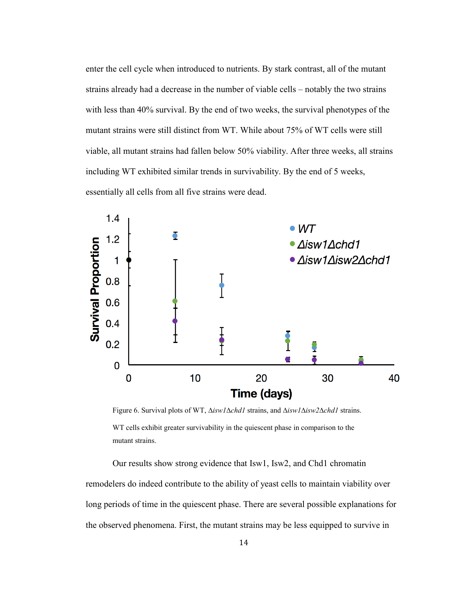enter the cell cycle when introduced to nutrients. By stark contrast, all of the mutant strains already had a decrease in the number of viable cells – notably the two strains with less than 40% survival. By the end of two weeks, the survival phenotypes of the mutant strains were still distinct from WT. While about 75% of WT cells were still viable, all mutant strains had fallen below 50% viability. After three weeks, all strains including WT exhibited similar trends in survivability. By the end of 5 weeks, essentially all cells from all five strains were dead.



<span id="page-19-0"></span>Figure 6. Survival plots of WT, *∆isw1∆chd1* strains, and *∆isw1∆isw2∆chd1* strains. WT cells exhibit greater survivability in the quiescent phase in comparison to the mutant strains.

Our results show strong evidence that Isw1, Isw2, and Chd1 chromatin remodelers do indeed contribute to the ability of yeast cells to maintain viability over long periods of time in the quiescent phase. There are several possible explanations for the observed phenomena. First, the mutant strains may be less equipped to survive in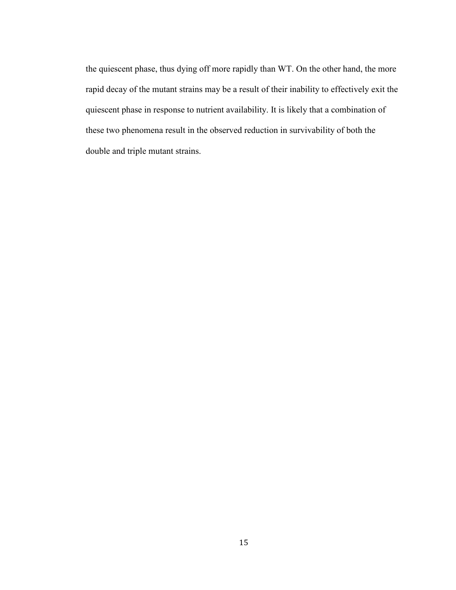the quiescent phase, thus dying off more rapidly than WT. On the other hand, the more rapid decay of the mutant strains may be a result of their inability to effectively exit the quiescent phase in response to nutrient availability. It is likely that a combination of these two phenomena result in the observed reduction in survivability of both the double and triple mutant strains.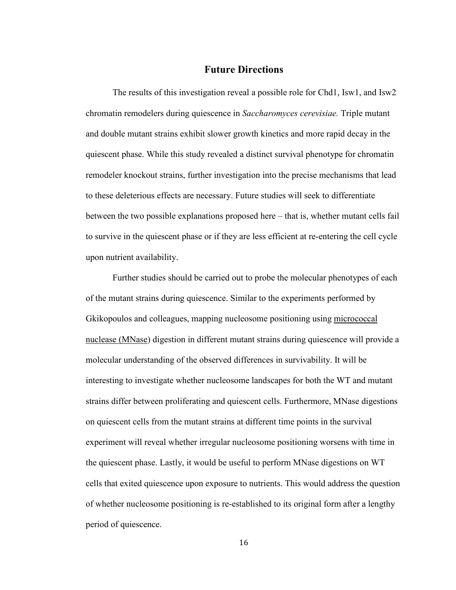# **Future Directions**

The results of this investigation reveal a possible role for Chd1, Isw1, and Isw2 chromatin remodelers during quiescence in *Saccharomyces cerevisiae.* Triple mutant and double mutant strains exhibit slower growth kinetics and more rapid decay in the quiescent phase. While this study revealed a distinct survival phenotype for chromatin remodeler knockout strains, further investigation into the precise mechanisms that lead to these deleterious effects are necessary. Future studies will seek to differentiate between the two possible explanations proposed here – that is, whether mutant cells fail to survive in the quiescent phase or if they are less efficient at re-entering the cell cycle upon nutrient availability.

Further studies should be carried out to probe the molecular phenotypes of each of the mutant strains during quiescence. Similar to the experiments performed by Gkikopoulos and colleagues, mapping nucleosome positioning using micrococcal nuclease (MNase) digestion in different mutant strains during quiescence will provide a molecular understanding of the observed differences in survivability. It will be interesting to investigate whether nucleosome landscapes for both the WT and mutant strains differ between proliferating and quiescent cells. Furthermore, MNase digestions on quiescent cells from the mutant strains at different time points in the survival experiment will reveal whether irregular nucleosome positioning worsens with time in the quiescent phase. Lastly, it would be useful to perform MNase digestions on WT cells that exited quiescence upon exposure to nutrients. This would address the question of whether nucleosome positioning is re-established to its original form after a lengthy period of quiescence.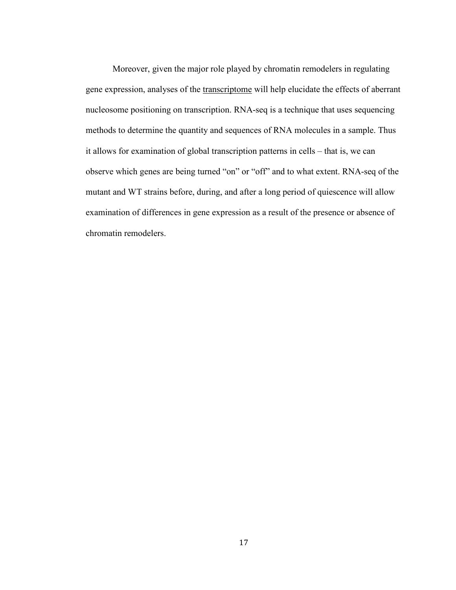Moreover, given the major role played by chromatin remodelers in regulating gene expression, analyses of the transcriptome will help elucidate the effects of aberrant nucleosome positioning on transcription. RNA-seq is a technique that uses sequencing methods to determine the quantity and sequences of RNA molecules in a sample. Thus it allows for examination of global transcription patterns in cells – that is, we can observe which genes are being turned "on" or "off" and to what extent. RNA-seq of the mutant and WT strains before, during, and after a long period of quiescence will allow examination of differences in gene expression as a result of the presence or absence of chromatin remodelers.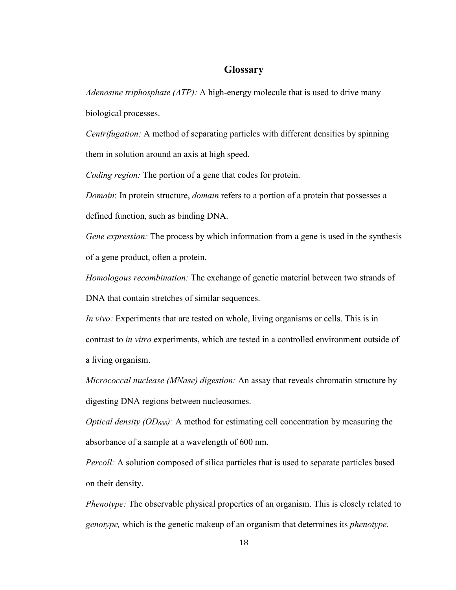# **Glossary**

*Adenosine triphosphate (ATP):* A high-energy molecule that is used to drive many biological processes.

*Centrifugation:* A method of separating particles with different densities by spinning them in solution around an axis at high speed.

*Coding region:* The portion of a gene that codes for protein.

*Domain*: In protein structure, *domain* refers to a portion of a protein that possesses a

defined function, such as binding DNA.

*Gene expression:* The process by which information from a gene is used in the synthesis of a gene product, often a protein.

*Homologous recombination:* The exchange of genetic material between two strands of DNA that contain stretches of similar sequences.

*In vivo:* Experiments that are tested on whole, living organisms or cells. This is in contrast to *in vitro* experiments, which are tested in a controlled environment outside of a living organism.

*Micrococcal nuclease (MNase) digestion:* An assay that reveals chromatin structure by digesting DNA regions between nucleosomes.

*Optical density (OD600):* A method for estimating cell concentration by measuring the absorbance of a sample at a wavelength of 600 nm.

*Percoll:* A solution composed of silica particles that is used to separate particles based on their density.

*Phenotype:* The observable physical properties of an organism. This is closely related to *genotype,* which is the genetic makeup of an organism that determines its *phenotype.*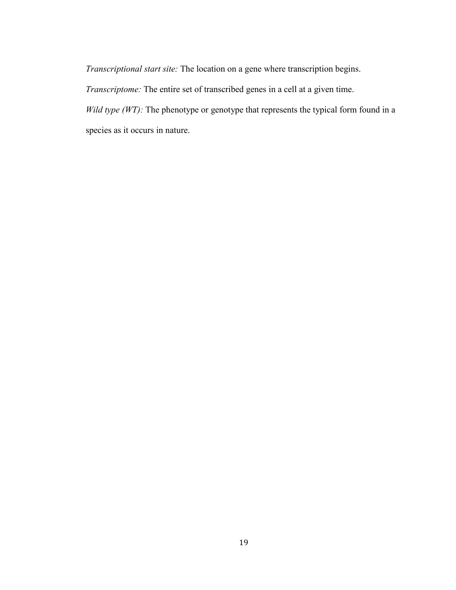*Transcriptional start site:* The location on a gene where transcription begins.

*Transcriptome:* The entire set of transcribed genes in a cell at a given time.

*Wild type (WT):* The phenotype or genotype that represents the typical form found in a species as it occurs in nature.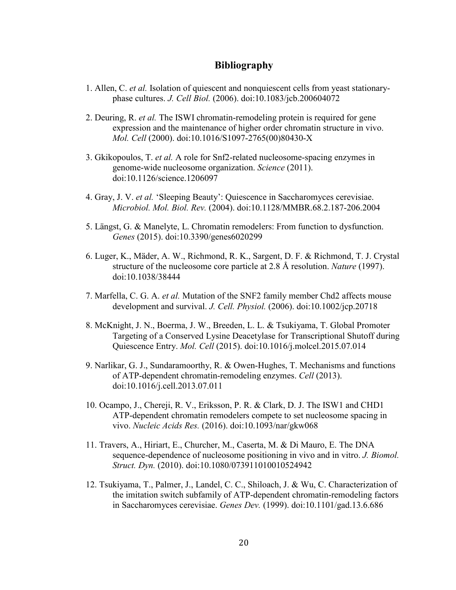# **Bibliography**

- 1. Allen, C. *et al.* Isolation of quiescent and nonquiescent cells from yeast stationaryphase cultures. *J. Cell Biol.* (2006). doi:10.1083/jcb.200604072
- 2. Deuring, R. *et al.* The ISWI chromatin-remodeling protein is required for gene expression and the maintenance of higher order chromatin structure in vivo. *Mol. Cell* (2000). doi:10.1016/S1097-2765(00)80430-X
- 3. Gkikopoulos, T. *et al.* A role for Snf2-related nucleosome-spacing enzymes in genome-wide nucleosome organization. *Science* (2011). doi:10.1126/science.1206097
- 4. Gray, J. V. *et al.* 'Sleeping Beauty': Quiescence in Saccharomyces cerevisiae. *Microbiol. Mol. Biol. Rev.* (2004). doi:10.1128/MMBR.68.2.187-206.2004
- 5. Längst, G. & Manelyte, L. Chromatin remodelers: From function to dysfunction. *Genes* (2015). doi:10.3390/genes6020299
- 6. Luger, K., Mäder, A. W., Richmond, R. K., Sargent, D. F. & Richmond, T. J. Crystal structure of the nucleosome core particle at 2.8 Å resolution. *Nature* (1997). doi:10.1038/38444
- 7. Marfella, C. G. A. *et al.* Mutation of the SNF2 family member Chd2 affects mouse development and survival. *J. Cell. Physiol.* (2006). doi:10.1002/jcp.20718
- 8. McKnight, J. N., Boerma, J. W., Breeden, L. L. & Tsukiyama, T. Global Promoter Targeting of a Conserved Lysine Deacetylase for Transcriptional Shutoff during Quiescence Entry. *Mol. Cell* (2015). doi:10.1016/j.molcel.2015.07.014
- 9. Narlikar, G. J., Sundaramoorthy, R. & Owen-Hughes, T. Mechanisms and functions of ATP-dependent chromatin-remodeling enzymes. *Cell* (2013). doi:10.1016/j.cell.2013.07.011
- 10. Ocampo, J., Chereji, R. V., Eriksson, P. R. & Clark, D. J. The ISW1 and CHD1 ATP-dependent chromatin remodelers compete to set nucleosome spacing in vivo. *Nucleic Acids Res.* (2016). doi:10.1093/nar/gkw068
- 11. Travers, A., Hiriart, E., Churcher, M., Caserta, M. & Di Mauro, E. The DNA sequence-dependence of nucleosome positioning in vivo and in vitro. *J. Biomol. Struct. Dyn.* (2010). doi:10.1080/073911010010524942
- 12. Tsukiyama, T., Palmer, J., Landel, C. C., Shiloach, J. & Wu, C. Characterization of the imitation switch subfamily of ATP-dependent chromatin-remodeling factors in Saccharomyces cerevisiae. *Genes Dev.* (1999). doi:10.1101/gad.13.6.686